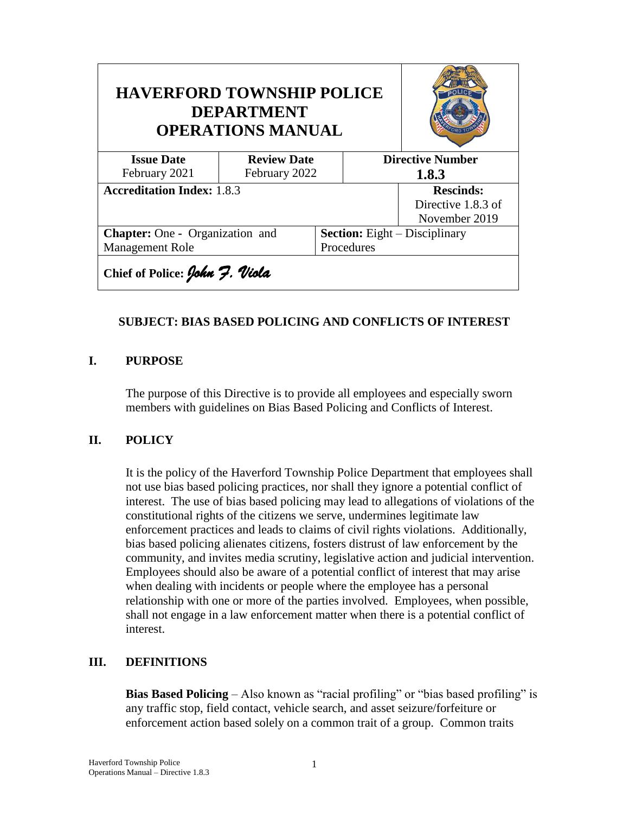| <b>HAVERFORD TOWNSHIP POLICE</b><br><b>DEPARTMENT</b><br><b>OPERATIONS MANUAL</b> |                    |            |                                      |               |
|-----------------------------------------------------------------------------------|--------------------|------------|--------------------------------------|---------------|
| <b>Issue Date</b>                                                                 | <b>Review Date</b> |            | <b>Directive Number</b>              |               |
| February 2021                                                                     | February 2022      |            |                                      | 1.8.3         |
| <b>Accreditation Index: 1.8.3</b>                                                 |                    |            | <b>Rescinds:</b>                     |               |
|                                                                                   |                    |            | Directive 1.8.3 of                   |               |
|                                                                                   |                    |            |                                      | November 2019 |
| <b>Chapter:</b> One - Organization and                                            |                    |            | <b>Section:</b> Eight – Disciplinary |               |
| Management Role                                                                   |                    | Procedures |                                      |               |
| Chief of Police: John 7. Viola                                                    |                    |            |                                      |               |

### **SUBJECT: BIAS BASED POLICING AND CONFLICTS OF INTEREST**

#### **I. PURPOSE**

The purpose of this Directive is to provide all employees and especially sworn members with guidelines on Bias Based Policing and Conflicts of Interest.

### **II. POLICY**

It is the policy of the Haverford Township Police Department that employees shall not use bias based policing practices, nor shall they ignore a potential conflict of interest. The use of bias based policing may lead to allegations of violations of the constitutional rights of the citizens we serve, undermines legitimate law enforcement practices and leads to claims of civil rights violations. Additionally, bias based policing alienates citizens, fosters distrust of law enforcement by the community, and invites media scrutiny, legislative action and judicial intervention. Employees should also be aware of a potential conflict of interest that may arise when dealing with incidents or people where the employee has a personal relationship with one or more of the parties involved. Employees, when possible, shall not engage in a law enforcement matter when there is a potential conflict of interest.

### **III. DEFINITIONS**

**Bias Based Policing** – Also known as "racial profiling" or "bias based profiling" is any traffic stop, field contact, vehicle search, and asset seizure/forfeiture or enforcement action based solely on a common trait of a group. Common traits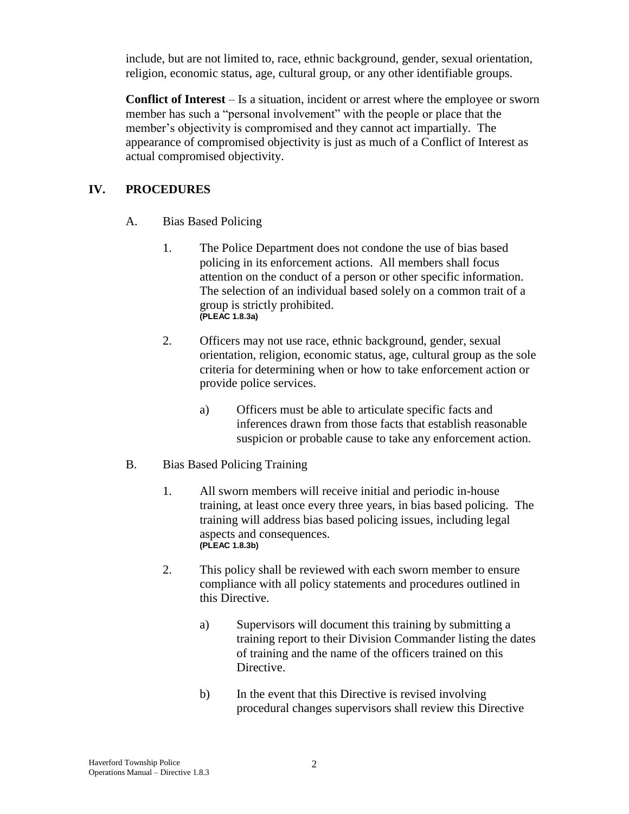include, but are not limited to, race, ethnic background, gender, sexual orientation, religion, economic status, age, cultural group, or any other identifiable groups.

**Conflict of Interest** – Is a situation, incident or arrest where the employee or sworn member has such a "personal involvement" with the people or place that the member's objectivity is compromised and they cannot act impartially. The appearance of compromised objectivity is just as much of a Conflict of Interest as actual compromised objectivity.

## **IV. PROCEDURES**

- A. Bias Based Policing
	- 1. The Police Department does not condone the use of bias based policing in its enforcement actions. All members shall focus attention on the conduct of a person or other specific information. The selection of an individual based solely on a common trait of a group is strictly prohibited. **(PLEAC 1.8.3a)**
	- 2. Officers may not use race, ethnic background, gender, sexual orientation, religion, economic status, age, cultural group as the sole criteria for determining when or how to take enforcement action or provide police services.
		- a) Officers must be able to articulate specific facts and inferences drawn from those facts that establish reasonable suspicion or probable cause to take any enforcement action.
- B. Bias Based Policing Training
	- 1. All sworn members will receive initial and periodic in-house training, at least once every three years, in bias based policing. The training will address bias based policing issues, including legal aspects and consequences. **(PLEAC 1.8.3b)**
	- 2. This policy shall be reviewed with each sworn member to ensure compliance with all policy statements and procedures outlined in this Directive.
		- a) Supervisors will document this training by submitting a training report to their Division Commander listing the dates of training and the name of the officers trained on this Directive.
		- b) In the event that this Directive is revised involving procedural changes supervisors shall review this Directive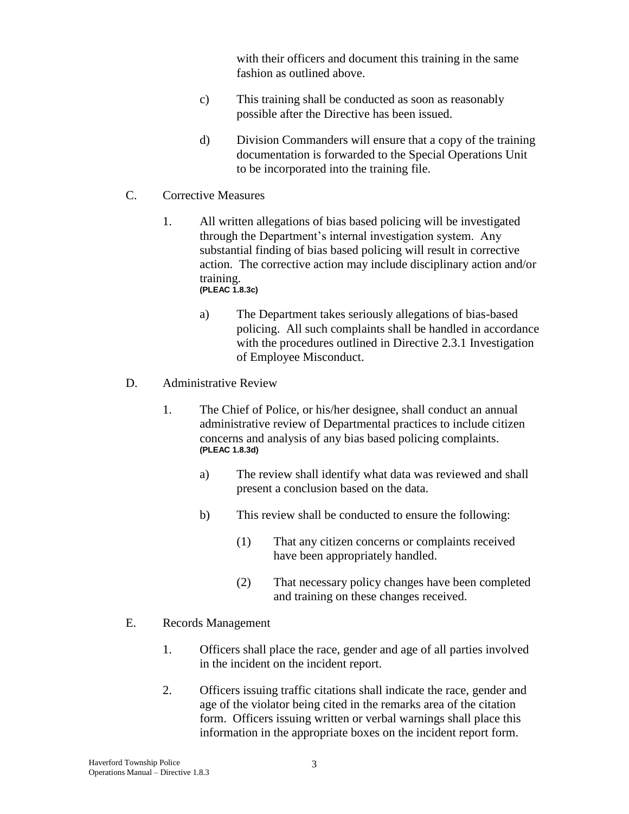with their officers and document this training in the same fashion as outlined above.

- c) This training shall be conducted as soon as reasonably possible after the Directive has been issued.
- d) Division Commanders will ensure that a copy of the training documentation is forwarded to the Special Operations Unit to be incorporated into the training file.
- C. Corrective Measures
	- 1. All written allegations of bias based policing will be investigated through the Department's internal investigation system. Any substantial finding of bias based policing will result in corrective action. The corrective action may include disciplinary action and/or training. **(PLEAC 1.8.3c)**
		- a) The Department takes seriously allegations of bias-based policing. All such complaints shall be handled in accordance with the procedures outlined in Directive 2.3.1 Investigation of Employee Misconduct.
- D. Administrative Review
	- 1. The Chief of Police, or his/her designee, shall conduct an annual administrative review of Departmental practices to include citizen concerns and analysis of any bias based policing complaints. **(PLEAC 1.8.3d)**
		- a) The review shall identify what data was reviewed and shall present a conclusion based on the data.
		- b) This review shall be conducted to ensure the following:
			- (1) That any citizen concerns or complaints received have been appropriately handled.
			- (2) That necessary policy changes have been completed and training on these changes received.
- E. Records Management
	- 1. Officers shall place the race, gender and age of all parties involved in the incident on the incident report.
	- 2. Officers issuing traffic citations shall indicate the race, gender and age of the violator being cited in the remarks area of the citation form. Officers issuing written or verbal warnings shall place this information in the appropriate boxes on the incident report form.